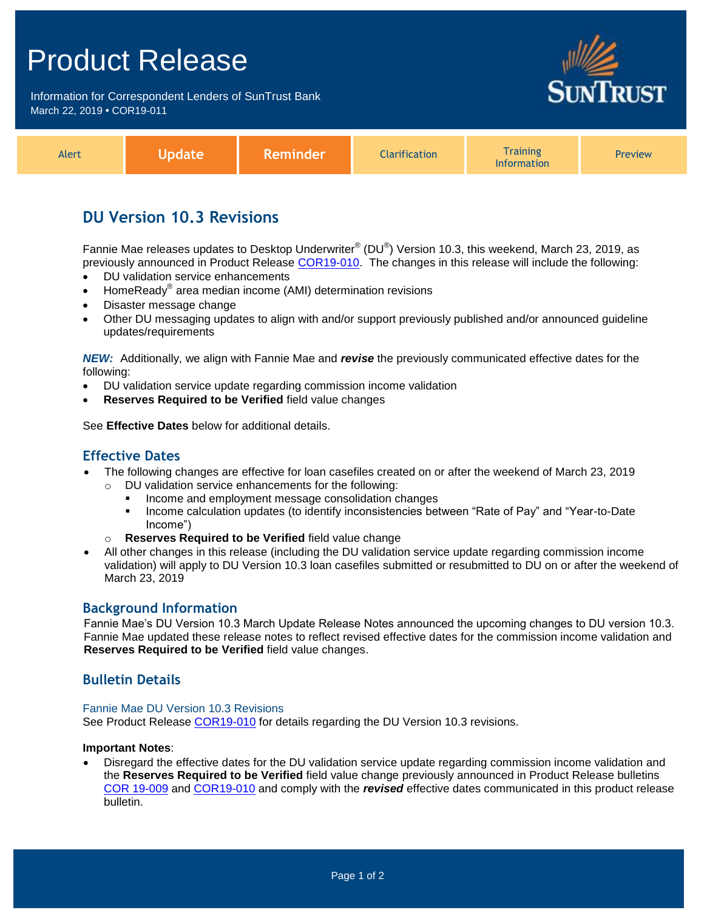# Product Release

Information for Correspondent Lenders of SunTrust Bank March 22, 2019 **•** COR19-011



| Alert | <b>Jpdate</b> | 'Reminder | <b>Clarification</b> | <b>Training</b><br>Information | <b>Preview</b> |
|-------|---------------|-----------|----------------------|--------------------------------|----------------|
|-------|---------------|-----------|----------------------|--------------------------------|----------------|

## **DU Version 10.3 Revisions**

Fannie Mae releases updates to Desktop Underwriter $^{\circledast}$  (DU $^{\circledast}$ ) Version 10.3, this weekend, March 23, 2019, as previously announced in Product Release [COR19-010.](https://www.truistsellerguide.com/Manual/cor/bulletins/archive/Cr19-010.pdf) The changes in this release will include the following:

- DU validation service enhancements
- HomeReady<sup>®</sup> area median income (AMI) determination revisions
- Disaster message change
- Other DU messaging updates to align with and/or support previously published and/or announced guideline updates/requirements

*NEW:* Additionally, we align with Fannie Mae and *revise* the previously communicated effective dates for the following:

- DU validation service update regarding commission income validation
- **Reserves Required to be Verified** field value changes

See **Effective Dates** below for additional details.

### **Effective Dates**

- The following changes are effective for loan casefiles created on or after the weekend of March 23, 2019
	- o DU validation service enhancements for the following:
		- Income and employment message consolidation changes
		- **Income calculation updates (to identify inconsistencies between "Rate of Pay" and "Year-to-Date** Income")
	- o **Reserves Required to be Verified** field value change
- All other changes in this release (including the DU validation service update regarding commission income validation) will apply to DU Version 10.3 loan casefiles submitted or resubmitted to DU on or after the weekend of March 23, 2019

### **Background Information**

Fannie Mae's DU Version 10.3 March Update Release Notes announced the upcoming changes to DU version 10.3. Fannie Mae updated these release notes to reflect revised effective dates for the commission income validation and **Reserves Required to be Verified** field value changes.

### **Bulletin Details**

#### Fannie Mae DU Version 10.3 Revisions

See Product Release [COR19-010](https://www.truistsellerguide.com/Manual/cor/bulletins/archive/Cr19-010.pdf) for details regarding the DU Version 10.3 revisions.

### **Important Notes**:

 Disregard the effective dates for the DU validation service update regarding commission income validation and the **Reserves Required to be Verified** field value change previously announced in Product Release bulletins [COR 19-009](https://www.truistsellerguide.com/Manual/cor/bulletins/archive/Cr19-009.pdf) and [COR19-010](https://www.truistsellerguide.com/Manual/cor/bulletins/archive/Cr19-010.pdf) and comply with the *revised* effective dates communicated in this product release bulletin.